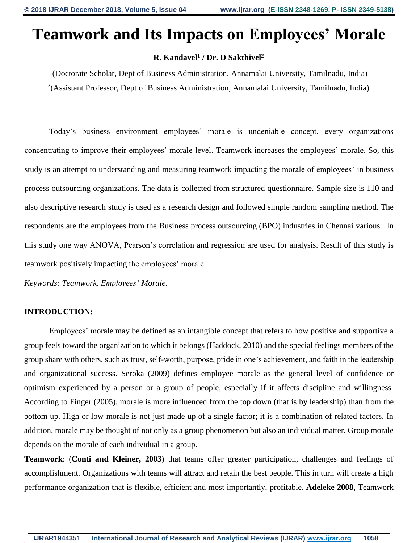# **Teamwork and Its Impacts on Employees' Morale**

## **R. Kandavel<sup>1</sup> / Dr. D Sakthivel<sup>2</sup>**

<sup>1</sup>(Doctorate Scholar, Dept of Business Administration, Annamalai University, Tamilnadu, India) <sup>2</sup>(Assistant Professor, Dept of Business Administration, Annamalai University, Tamilnadu, India)

Today's business environment employees' morale is undeniable concept, every organizations concentrating to improve their employees' morale level. Teamwork increases the employees' morale. So, this study is an attempt to understanding and measuring teamwork impacting the morale of employees' in business process outsourcing organizations. The data is collected from structured questionnaire. Sample size is 110 and also descriptive research study is used as a research design and followed simple random sampling method. The respondents are the employees from the Business process outsourcing (BPO) industries in Chennai various. In this study one way ANOVA, Pearson's correlation and regression are used for analysis. Result of this study is teamwork positively impacting the employees' morale.

*Keywords: Teamwork, Employees' Morale.*

### **INTRODUCTION:**

Employees' morale may be defined as an intangible concept that refers to how positive and supportive a group feels toward the organization to which it belongs (Haddock, 2010) and the special feelings members of the group share with others, such as trust, self-worth, purpose, pride in one's achievement, and faith in the leadership and organizational success. Seroka (2009) defines employee morale as the general level of confidence or optimism experienced by a person or a group of people, especially if it affects discipline and willingness. According to Finger (2005), morale is more influenced from the top down (that is by leadership) than from the bottom up. High or low morale is not just made up of a single factor; it is a combination of related factors. In addition, morale may be thought of not only as a group phenomenon but also an individual matter. Group morale depends on the morale of each individual in a group.

**Teamwork**: (**Conti and Kleiner, 2003**) that teams offer greater participation, challenges and feelings of accomplishment. Organizations with teams will attract and retain the best people. This in turn will create a high performance organization that is flexible, efficient and most importantly, profitable. **Adeleke 2008**, Teamwork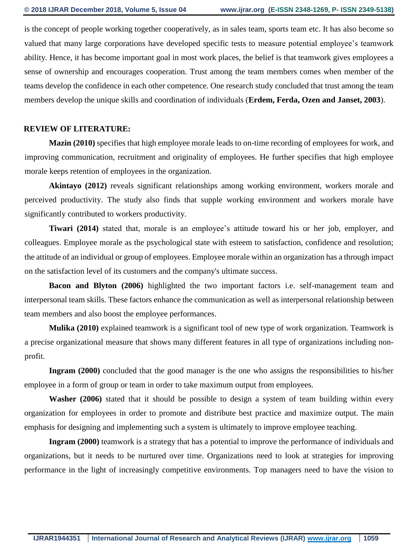is the concept of people working together cooperatively, as in sales team, sports team etc. It has also become so valued that many large corporations have developed specific tests to measure potential employee's teamwork ability. Hence, it has become important goal in most work places, the belief is that teamwork gives employees a sense of ownership and encourages cooperation. Trust among the team members comes when member of the teams develop the confidence in each other competence. One research study concluded that trust among the team members develop the unique skills and coordination of individuals (**Erdem, Ferda, Ozen and Janset, 2003**).

#### **REVIEW OF LITERATURE:**

**Mazin (2010)** specifies that high employee morale leads to on-time recording of employees for work, and improving communication, recruitment and originality of employees. He further specifies that high employee morale keeps retention of employees in the organization.

**Akintayo (2012)** reveals significant relationships among working environment, workers morale and perceived productivity. The study also finds that supple working environment and workers morale have significantly contributed to workers productivity.

**Tiwari (2014)** stated that, morale is an employee's attitude toward his or her job, employer, and colleagues. Employee morale as the psychological state with esteem to satisfaction, confidence and resolution; the attitude of an individual or group of employees. Employee morale within an organization has a through impact on the satisfaction level of its customers and the company's ultimate success.

**Bacon and Blyton (2006)** highlighted the two important factors i.e. self-management team and interpersonal team skills. These factors enhance the communication as well as interpersonal relationship between team members and also boost the employee performances.

**Mulika (2010)** explained teamwork is a significant tool of new type of work organization. Teamwork is a precise organizational measure that shows many different features in all type of organizations including nonprofit.

**Ingram (2000)** concluded that the good manager is the one who assigns the responsibilities to his/her employee in a form of group or team in order to take maximum output from employees.

**Washer (2006)** stated that it should be possible to design a system of team building within every organization for employees in order to promote and distribute best practice and maximize output. The main emphasis for designing and implementing such a system is ultimately to improve employee teaching.

**Ingram (2000)** teamwork is a strategy that has a potential to improve the performance of individuals and organizations, but it needs to be nurtured over time. Organizations need to look at strategies for improving performance in the light of increasingly competitive environments. Top managers need to have the vision to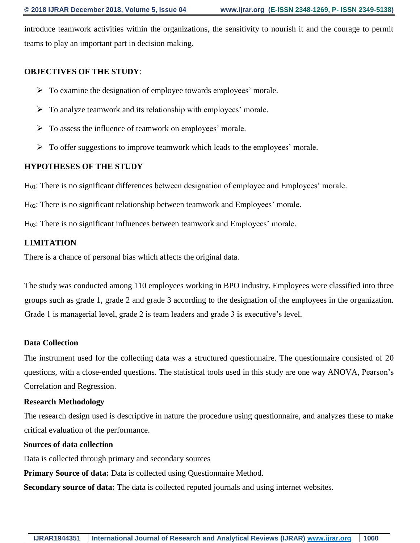introduce teamwork activities within the organizations, the sensitivity to nourish it and the courage to permit teams to play an important part in decision making.

### **OBJECTIVES OF THE STUDY**:

- $\triangleright$  To examine the designation of employee towards employees' morale.
- $\triangleright$  To analyze teamwork and its relationship with employees' morale.
- $\triangleright$  To assess the influence of teamwork on employees' morale.
- $\triangleright$  To offer suggestions to improve teamwork which leads to the employees' morale.

#### **HYPOTHESES OF THE STUDY**

H01: There is no significant differences between designation of employee and Employees' morale.

H02: There is no significant relationship between teamwork and Employees' morale.

H03: There is no significant influences between teamwork and Employees' morale.

#### **LIMITATION**

There is a chance of personal bias which affects the original data.

The study was conducted among 110 employees working in BPO industry. Employees were classified into three groups such as grade 1, grade 2 and grade 3 according to the designation of the employees in the organization. Grade 1 is managerial level, grade 2 is team leaders and grade 3 is executive's level.

#### **Data Collection**

The instrument used for the collecting data was a structured questionnaire. The questionnaire consisted of 20 questions, with a close-ended questions. The statistical tools used in this study are one way ANOVA, Pearson's Correlation and Regression.

#### **Research Methodology**

The research design used is descriptive in nature the procedure using questionnaire, and analyzes these to make critical evaluation of the performance.

#### **Sources of data collection**

Data is collected through primary and secondary sources

**Primary Source of data:** Data is collected using Questionnaire Method.

**Secondary source of data:** The data is collected reputed journals and using internet websites.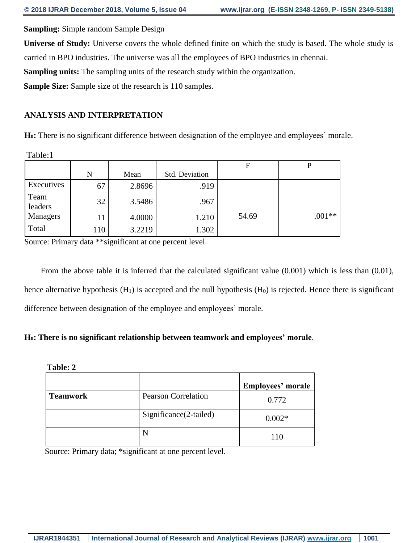**Sampling:** Simple random Sample Design

**Universe of Study:** Universe covers the whole defined finite on which the study is based. The whole study is carried in BPO industries. The universe was all the employees of BPO industries in chennai.

**Sampling units:** The sampling units of the research study within the organization.

**Sample Size:** Sample size of the research is 110 samples.

# **ANALYSIS AND INTERPRETATION**

H<sub>0</sub>: There is no significant difference between designation of the employee and employees' morale.

Table:1

|                 |     |        |                | F     | P        |
|-----------------|-----|--------|----------------|-------|----------|
|                 | N   | Mean   | Std. Deviation |       |          |
| Executives      | 67  | 2.8696 | .919           |       |          |
| Team<br>leaders | 32  | 3.5486 | .967           |       |          |
| Managers        | 11  | 4.0000 | 1.210          | 54.69 | $.001**$ |
| Total           | 110 | 3.2219 | 1.302          |       |          |

Source: Primary data \*\*significant at one percent level.

 From the above table it is inferred that the calculated significant value (0.001) which is less than (0.01), hence alternative hypothesis  $(H_1)$  is accepted and the null hypothesis  $(H_0)$  is rejected. Hence there is significant difference between designation of the employee and employees' morale.

# **H0: There is no significant relationship between teamwork and employees' morale**.

#### **Table: 2**

|                 |                            | Employees' morale |
|-----------------|----------------------------|-------------------|
| <b>Teamwork</b> | <b>Pearson Correlation</b> | 0.772             |
|                 | Significance(2-tailed)     | $0.002*$          |
|                 |                            | 110               |

Source: Primary data; \*significant at one percent level.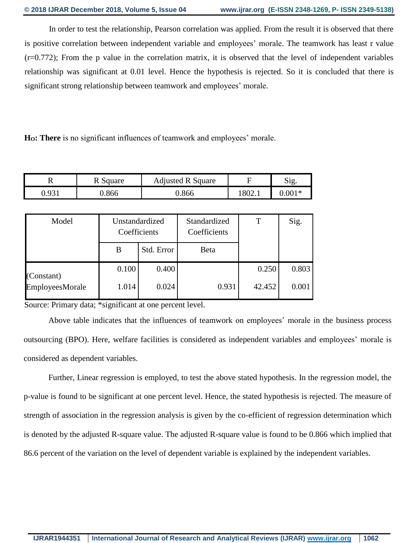In order to test the relationship, Pearson correlation was applied. From the result it is observed that there is positive correlation between independent variable and employees' morale. The teamwork has least r value  $(r=0.772)$ ; From the p value in the correlation matrix, it is observed that the level of independent variables relationship was significant at 0.01 level. Hence the hypothesis is rejected. So it is concluded that there is significant strong relationship between teamwork and employees' morale.

**HO: There** is no significant influences of teamwork and employees' morale.

|                          | Square | <b>Adjusted R Square</b> |        | $\sim$  |
|--------------------------|--------|--------------------------|--------|---------|
| $\mathbf{Q}$ 31<br>U.JJI | 866    | 0.866                    | 1802.1 | $.001*$ |

| Model           | Unstandardized<br>Coefficients |            | Standardized<br>Coefficients | Т      | Sig.  |
|-----------------|--------------------------------|------------|------------------------------|--------|-------|
|                 | B                              | Std. Error | Beta                         |        |       |
| (Constant)      | 0.100                          | 0.400      |                              | 0.250  | 0.803 |
| EmployeesMorale | 1.014                          | 0.024      | 0.931                        | 42.452 | 0.001 |

Source: Primary data; \*significant at one percent level.

Above table indicates that the influences of teamwork on employees' morale in the business process outsourcing (BPO). Here, welfare facilities is considered as independent variables and employees' morale is considered as dependent variables.

Further, Linear regression is employed, to test the above stated hypothesis. In the regression model, the p-value is found to be significant at one percent level. Hence, the stated hypothesis is rejected. The measure of strength of association in the regression analysis is given by the co-efficient of regression determination which is denoted by the adjusted R-square value. The adjusted R-square value is found to be 0.866 which implied that 86.6 percent of the variation on the level of dependent variable is explained by the independent variables.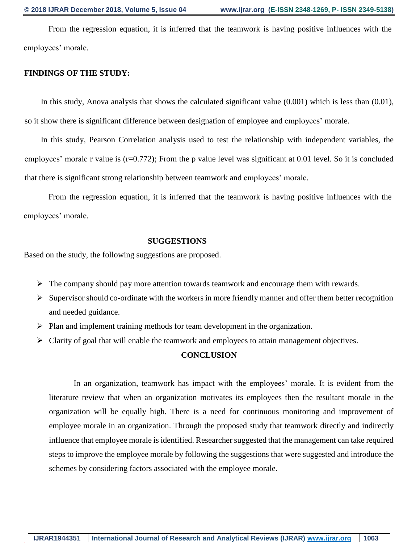From the regression equation, it is inferred that the teamwork is having positive influences with the employees' morale.

#### **FINDINGS OF THE STUDY:**

 In this study, Anova analysis that shows the calculated significant value (0.001) which is less than (0.01), so it show there is significant difference between designation of employee and employees' morale.

 In this study, Pearson Correlation analysis used to test the relationship with independent variables, the employees' morale r value is (r=0.772); From the p value level was significant at 0.01 level. So it is concluded that there is significant strong relationship between teamwork and employees' morale.

From the regression equation, it is inferred that the teamwork is having positive influences with the employees' morale.

#### **SUGGESTIONS**

Based on the study, the following suggestions are proposed.

- $\triangleright$  The company should pay more attention towards teamwork and encourage them with rewards.
- $\triangleright$  Supervisor should co-ordinate with the workers in more friendly manner and offer them better recognition and needed guidance.
- $\triangleright$  Plan and implement training methods for team development in the organization.
- $\triangleright$  Clarity of goal that will enable the teamwork and employees to attain management objectives.

#### **CONCLUSION**

In an organization, teamwork has impact with the employees' morale. It is evident from the literature review that when an organization motivates its employees then the resultant morale in the organization will be equally high. There is a need for continuous monitoring and improvement of employee morale in an organization. Through the proposed study that teamwork directly and indirectly influence that employee morale is identified. Researcher suggested that the management can take required steps to improve the employee morale by following the suggestions that were suggested and introduce the schemes by considering factors associated with the employee morale.